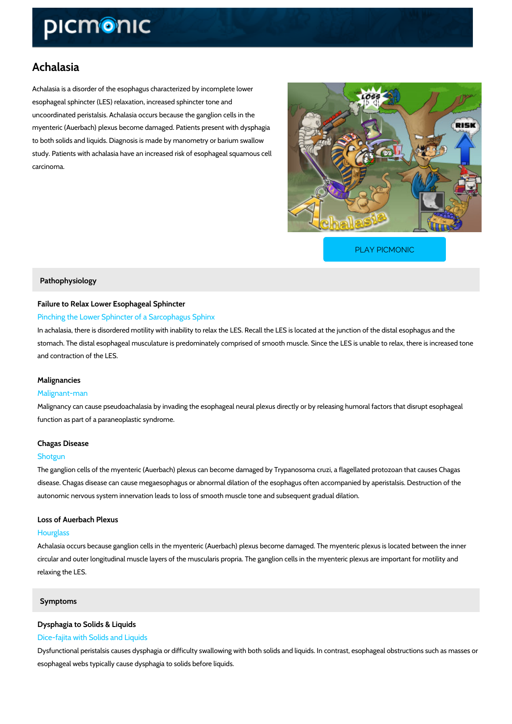# Achalasia

Achalasia is a disorder of the esophagus characterized by incomplete lower esophageal sphincter (LES) relaxation, increased sphincter tone and uncoordinated peristalsis. Achalasia occurs because the ganglion cells in the myenteric (Auerbach) plexus become damaged. Patients present with dysphagia to both solids and liquids. Diagnosis is made by manometry or barium swallow study. Patients with achalasia have an increased risk of esophageal squamous cell carcinoma.

[PLAY PICMONIC](https://www.picmonic.com/learn/achalasia_2518?utm_source=downloadable_content&utm_medium=distributedcontent&utm_campaign=pathways_pdf&utm_content=Achalasia&utm_ad_group=leads&utm_market=all)

### Pathophysiology

# Failure to Relax Lower Esophageal Sphincter

# Pinching the Lower Sphincter of a Sarcophagus Sphinx

In achalasia, there is disordered motility with inability to relax the LES. Recall the LES is loc stomach. The distal esophageal musculature is predominately comprised of smooth muscle. Si and contraction of the LES.

## Malignancies

### Malignant-man

Malignancy can cause pseudoachalasia by invading the esophageal neural plexus directly or b function as part of a paraneoplastic syndrome.

## Chagas Disease

### Shotgun

The ganglion cells of the myenteric (Auerbach) plexus can become damaged by Trypanosoma c disease. Chagas disease can cause megaesophagus or abnormal dilation of the esophagus oft autonomic nervous system innervation leads to loss of smooth muscle tone and subsequent gradual

# Loss of Auerbach Plexus

### Hourglass

Achalasia occurs because ganglion cells in the myenteric (Auerbach) plexus become damaged. circular and outer longitudinal muscle layers of the muscularis propria. The ganglion cells in relaxing the LES.

# Symptoms

# Dysphagia to Solids & Liquids

## Dice-fajita with Solids and Liquids

Dysfunctional peristalsis causes dysphagia or difficulty swallowing with both solids and liquid esophageal webs typically cause dysphagia to solids before liquids.